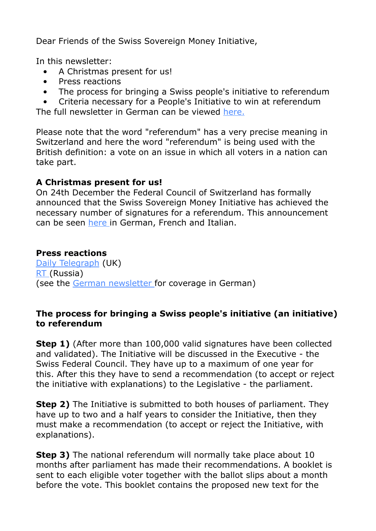Dear Friends of the Swiss Sovereign Money Initiative,

In this newsletter:

- A Christmas present for us!
- Press reactions
- The process for bringing a Swiss people's initiative to referendum

 • Criteria necessary for a People's Initiative to win at referendum The full newsletter in German can be viewed [here.](http://www.newsletter-webversion.de/?c=0-c3b1-qhyv8-gnf)

Please note that the word "referendum" has a very precise meaning in Switzerland and here the word "referendum" is being used with the British definition: a vote on an issue in which all voters in a nation can take part.

## **A Christmas present for us!**

On 24th December the Federal Council of Switzerland has formally announced that the Swiss Sovereign Money Initiative has achieved the necessary number of signatures for a referendum. This announcement can be seen [here](https://www.admin.ch/gov/en/start/documentation/media-releases.msg-id-60143.html) in German, French and Italian.

## **Press reactions**

[Daily Telegraph](http://www.telegraph.co.uk/finance/economics/11999966/Switzerland-to-vote-on-banning-banks-from-creating-money.html) (UK) [RT](https://www.rt.com/op-edge/327191-switzerland-money-banks-ban-referendum/) (Russia) (see the [German newsletter](http://www.newsletter-webversion.de/?c=0-c3b1-qhyv8-gnf) for coverage in German)

## **The process for bringing a Swiss people's initiative (an initiative) to referendum**

**Step 1)** (After more than 100,000 valid signatures have been collected and validated). The Initiative will be discussed in the Executive - the Swiss Federal Council. They have up to a maximum of one year for this. After this they have to send a recommendation (to accept or reject the initiative with explanations) to the Legislative - the parliament.

**Step 2)** The Initiative is submitted to both houses of parliament. They have up to two and a half years to consider the Initiative, then they must make a recommendation (to accept or reject the Initiative, with explanations).

**Step 3)** The national referendum will normally take place about 10 months after parliament has made their recommendations. A booklet is sent to each eligible voter together with the ballot slips about a month before the vote. This booklet contains the proposed new text for the